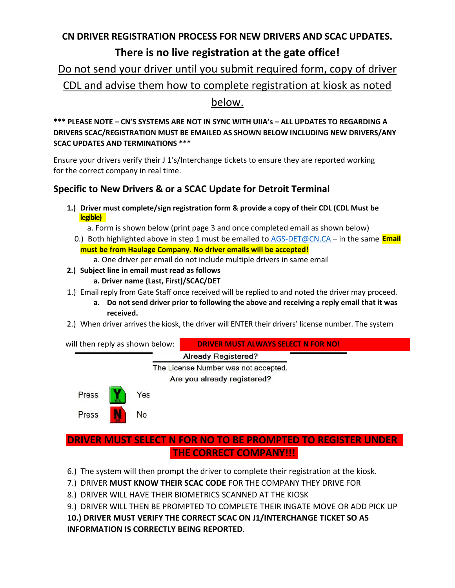# **CN DRIVER REGISTRATION PROCESS FOR NEW DRIVERS AND SCAC UPDATES. There is no live registration at the gate office!**

# Do not send your driver until you submit required form, copy of driver CDL and advise them how to complete registration at kiosk as noted

below.

**\*\*\* PLEASE NOTE – CN'S SYSTEMS ARE NOT IN SYNC WITH UIIA's – ALL UPDATES TO REGARDING A DRIVERS SCAC/REGISTRATION MUST BE EMAILED AS SHOWN BELOW INCLUDING NEW DRIVERS/ANY SCAC UPDATES AND TERMINATIONS \*\*\***

Ensure your drivers verify their J 1's/Interchange tickets to ensure they are reported working for the correct company in real time.

#### **Specific to New Drivers & or a SCAC Update for Detroit Terminal**

**1.) Driver must complete/sign registration form & provide a copy of their CDL (CDL Must be legible)**

a. Form is shown below (print page 3 and once completed email as shown below)

- 0.) Both highlighted above in step 1 must be emailed to [AGS-DET@CN.CA](mailto:%20AGS-DET@CN.CA) in the same **Email must be from Haulage Company. No driver emails will be accepted!**
	- a. One driver per email do not include multiple drivers in same email
- **2.) Subject line in email must read as follows a. Driver name (Last, First)/SCAC/DET**
- 1.) Email reply from Gate Staff once received will be replied to and noted the driver may proceed.
	- **a. Do not send driver prior to following the above and receiving a reply email that it was received.**
- 2.) When driver arrives the kiosk, the driver will ENTER their drivers' license number. The system



#### **DRIVER MUST SELECT N FOR NO TO BE PROMPTED TO REGISTER UNDER THE CORRECT COMPANY!!!**

- 6.) The system will then prompt the driver to complete their registration at the kiosk.
- 7.) DRIVER **MUST KNOW THEIR SCAC CODE** FOR THE COMPANY THEY DRIVE FOR
- 8.) DRIVER WILL HAVE THEIR BIOMETRICS SCANNED AT THE KIOSK
- 9.) DRIVER WILL THEN BE PROMPTED TO COMPLETE THEIR INGATE MOVE OR ADD PICK UP

**10.) DRIVER MUST VERIFY THE CORRECT SCAC ON J1/INTERCHANGE TICKET SO AS INFORMATION IS CORRECTLY BEING REPORTED.**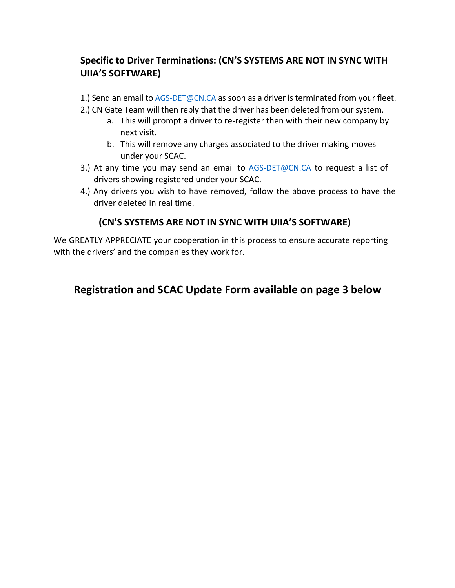#### **Specific to Driver Terminations: (CN'S SYSTEMS ARE NOT IN SYNC WITH UIIA'S SOFTWARE)**

- 1.) Send an email to  $AGS-DET@CN.CA$  as soon as a driver is terminated from your fleet.
- 2.) CN Gate Team will then reply that the driver has been deleted from our system.
	- a. This will prompt a driver to re-register then with their new company by next visit.
	- b. This will remove any charges associated to the driver making moves under your SCAC.
- 3.) At any time you may send an email to **[AGS-DET@CN.CA](mailto:%20AGS-DET@CN.CA)** to request a list of drivers showing registered under your SCAC.
- 4.) Any drivers you wish to have removed, follow the above process to have the driver deleted in real time.

#### **(CN'S SYSTEMS ARE NOT IN SYNC WITH UIIA'S SOFTWARE)**

We GREATLY APPRECIATE your cooperation in this process to ensure accurate reporting with the drivers' and the companies they work for.

## **Registration and SCAC Update Form available on page 3 below**